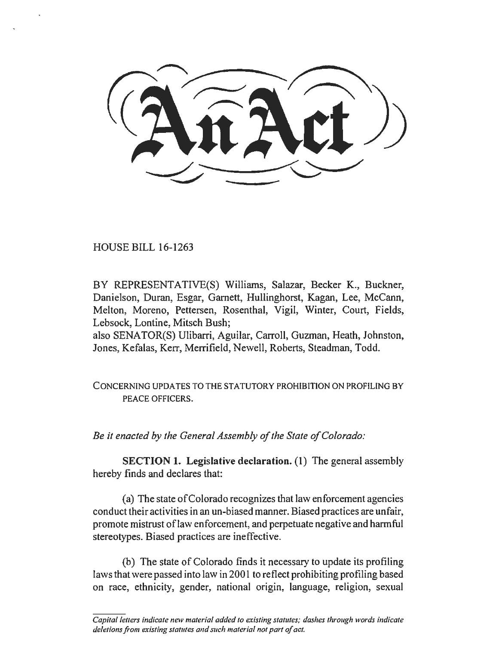HOUSE BILL 16-1263

BY REPRESENTATIVE(S) Williams, Salazar, Becker K., Buckner, Danielson, Duran, Esgar, Garnett, Hullinghorst, Kagan, Lee, McCann, Melton, Moreno, Pettersen, Rosenthal, Vigil, Winter, Court, Fields, Lebsock, Lontine, Mitsch Bush;

also SENATOR(S) Ulibarri, Aguilar, Carroll, Guzman, Heath, Johnston, Jones, Kefalas, Kerr, Merrifield, Newell, Roberts, Steadman, Todd.

CONCERNING UPDATES TO THE STATUTORY PROHIBITION ON PROFILING BY PEACE OFFICERS.

*Be it enacted by the General Assembly of the State of Colorado:* 

SECTION 1. Legislative declaration. (1) The general assembly hereby finds and declares that:

(a) The state of Colorado recognizes that law enforcement agencies conduct their activities in an un-biased manner. Biased practices are unfair, promote mistrust oflaw enforcement, and perpetuate negative and harmful stereotypes. Biased practices are ineffective.

(b) The state of Colorado finds it necessary to update its profiling laws that were passed into law in 2001 to reflect prohibiting profiling based on race, ethnicity, gender, national origin, language, religion, sexual

*Capital lellers indicate new material added to existing statutes; dashes through words indicate deletions from existing statutes and such material not part of act.*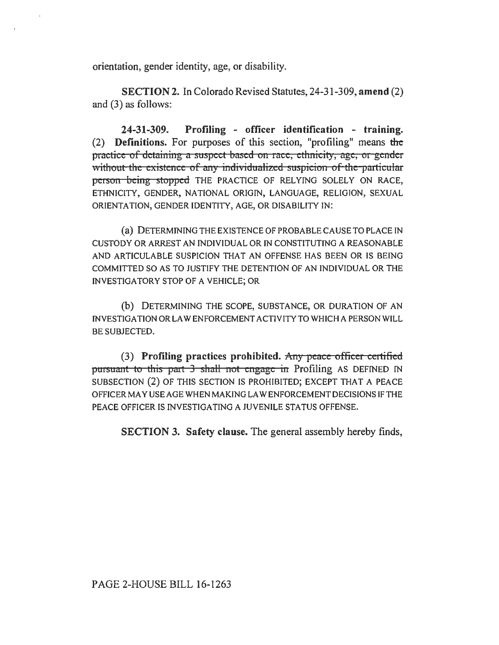orientation, gender identity, age, or disability.

SECTION 2. In Colorado Revised Statutes, 24-31-309, amend (2) and (3) as follows:

24-31-309. Profiling - officer identification - training. (2) Definitions. For purposes of this section, "profiling" means the practice of detaining a suspect based on race, ethnicity, age, or gender without the existence of any individualized suspicion of the particular person being stopped THE PRACTICE OF RELYING SOLELY ON RACE, ETHNICITY, GENDER, NATIONAL ORIGIN, LANGUAGE, RELIGION, SEXUAL ORIENTATION, GENDER IDENTITY, AGE, OR DISABILITY IN:

(a) DETERMINING THE EXISTENCE OF PROBABLE CAUSE TO PLACE IN CUSTODY OR ARREST AN INDIVIDUAL OR IN CONSTITUTING A REASONABLE AND ARTICULABLE SUSPICION THAT AN OFFENSE HAS BEEN OR IS BEING COMMITTED SO AS TO JUSTIFY THE DETENTION OF AN INDIVIDUAL OR THE INVESTIGATORY STOP OF A VEHICLE; OR

(b) DETERMINING THE SCOPE, SUBSTANCE, OR DURATION OF AN INVESTIGATION OR LAW ENFORCEMENT ACTIVITY TO WHICH A PERSON WILL BE SUBJECTED.

(3) Profiling practices prohibited. Any peace officer certified pursuant to this part 3 shall not engage in Profiling AS DEFINED IN SUBSECTION (2) OF THIS SECTION IS PROHIBITED; EXCEPT THAT A PEACE OFFICER MAY USE AGE WHEN MAKING LAW ENFORCEMENT DECISIONS IFTHE PEACE OFFICER IS INVESTIGATING A JUVENILE STATUS OFFENSE.

SECTION 3. Safety clause. The general assembly hereby finds,